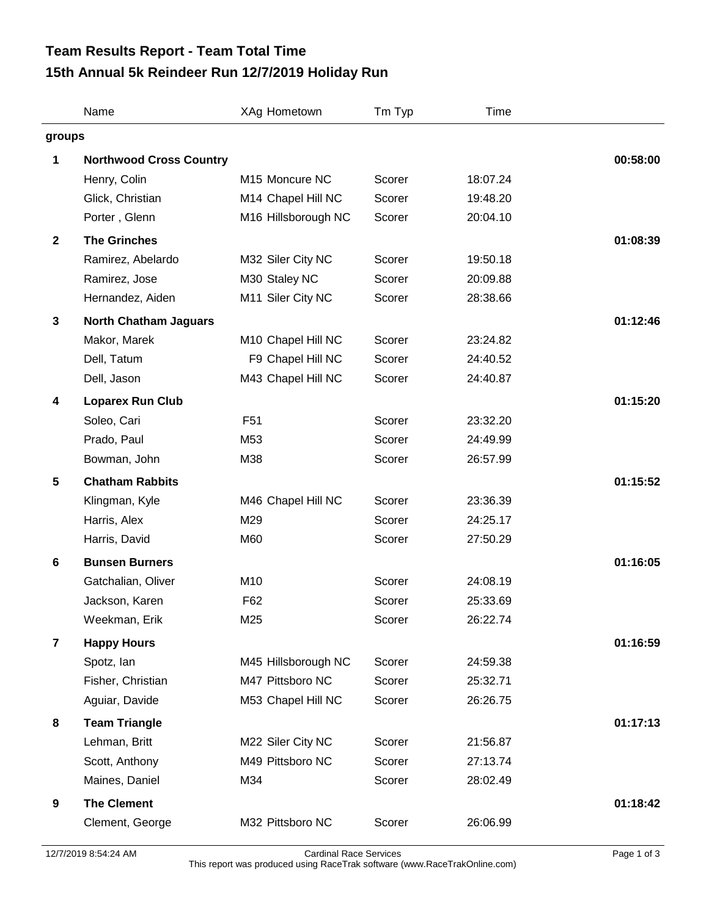## **15th Annual 5k Reindeer Run 12/7/2019 Holiday Run Team Results Report - Team Total Time**

|                         | Name                           | XAg Hometown               | Tm Typ | Time     |          |  |
|-------------------------|--------------------------------|----------------------------|--------|----------|----------|--|
| groups                  |                                |                            |        |          |          |  |
| 1                       | <b>Northwood Cross Country</b> |                            |        |          | 00:58:00 |  |
|                         | Henry, Colin                   | M <sub>15</sub> Moncure NC | Scorer | 18:07.24 |          |  |
|                         | Glick, Christian               | M14 Chapel Hill NC         | Scorer | 19:48.20 |          |  |
|                         | Porter, Glenn                  | M16 Hillsborough NC        | Scorer | 20:04.10 |          |  |
| $\mathbf{2}$            | <b>The Grinches</b>            |                            |        |          | 01:08:39 |  |
|                         | Ramirez, Abelardo              | M32 Siler City NC          | Scorer | 19:50.18 |          |  |
|                         | Ramirez, Jose                  | M30 Staley NC              | Scorer | 20:09.88 |          |  |
|                         | Hernandez, Aiden               | M11 Siler City NC          | Scorer | 28:38.66 |          |  |
| $\mathbf{3}$            | <b>North Chatham Jaguars</b>   |                            |        |          | 01:12:46 |  |
|                         | Makor, Marek                   | M10 Chapel Hill NC         | Scorer | 23:24.82 |          |  |
|                         | Dell, Tatum                    | F9 Chapel Hill NC          | Scorer | 24:40.52 |          |  |
|                         | Dell, Jason                    | M43 Chapel Hill NC         | Scorer | 24:40.87 |          |  |
| 4                       | <b>Loparex Run Club</b>        |                            |        |          | 01:15:20 |  |
|                         | Soleo, Cari                    | F <sub>51</sub>            | Scorer | 23:32.20 |          |  |
|                         | Prado, Paul                    | M53                        | Scorer | 24:49.99 |          |  |
|                         | Bowman, John                   | M38                        | Scorer | 26:57.99 |          |  |
| $5\phantom{.0}$         | <b>Chatham Rabbits</b>         |                            |        |          | 01:15:52 |  |
|                         | Klingman, Kyle                 | M46 Chapel Hill NC         | Scorer | 23:36.39 |          |  |
|                         | Harris, Alex                   | M29                        | Scorer | 24:25.17 |          |  |
|                         | Harris, David                  | M60                        | Scorer | 27:50.29 |          |  |
| 6                       | <b>Bunsen Burners</b>          |                            |        |          | 01:16:05 |  |
|                         | Gatchalian, Oliver             | M10                        | Scorer | 24:08.19 |          |  |
|                         | Jackson, Karen                 | F62                        | Scorer | 25:33.69 |          |  |
|                         | Weekman, Erik                  | M25                        | Scorer | 26:22.74 |          |  |
| $\overline{\mathbf{r}}$ | <b>Happy Hours</b>             |                            |        |          | 01:16:59 |  |
|                         | Spotz, lan                     | M45 Hillsborough NC        | Scorer | 24:59.38 |          |  |
|                         | Fisher, Christian              | M47 Pittsboro NC           | Scorer | 25:32.71 |          |  |
|                         | Aguiar, Davide                 | M53 Chapel Hill NC         | Scorer | 26:26.75 |          |  |
| 8                       | <b>Team Triangle</b>           |                            |        |          | 01:17:13 |  |
|                         | Lehman, Britt                  | M22 Siler City NC          | Scorer | 21:56.87 |          |  |
|                         | Scott, Anthony                 | M49 Pittsboro NC           | Scorer | 27:13.74 |          |  |
|                         | Maines, Daniel                 | M34                        | Scorer | 28:02.49 |          |  |
| 9                       | <b>The Clement</b>             |                            |        |          | 01:18:42 |  |
|                         | Clement, George                | M32 Pittsboro NC           | Scorer | 26:06.99 |          |  |
|                         |                                |                            |        |          |          |  |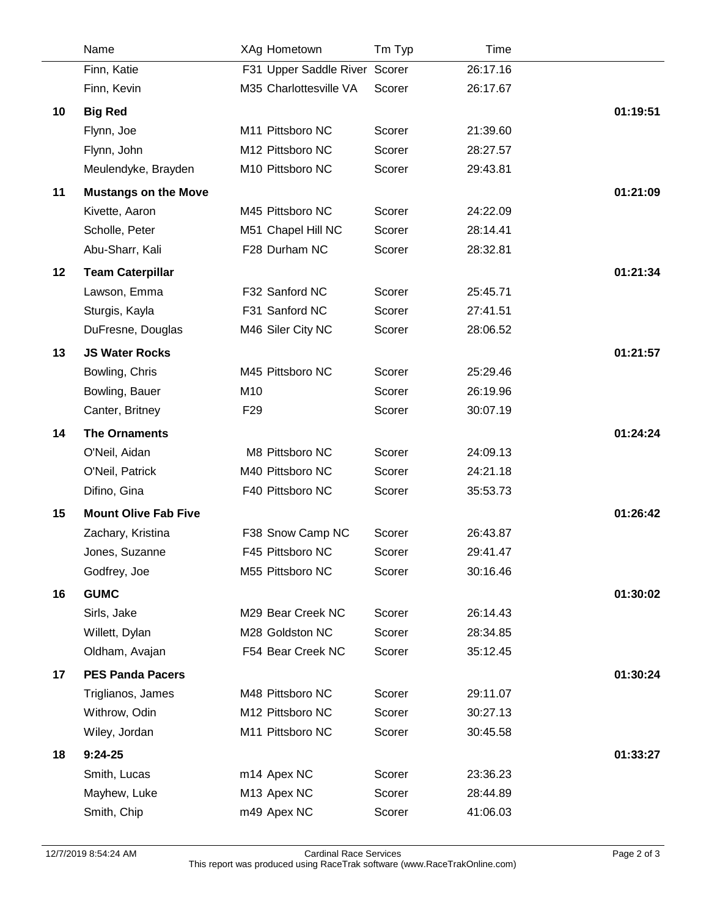|    | Name                          | XAg Hometown                  | Tm Typ | Time                 |          |
|----|-------------------------------|-------------------------------|--------|----------------------|----------|
|    | Finn, Katie                   | F31 Upper Saddle River Scorer |        | 26:17.16             |          |
|    | Finn, Kevin                   | M35 Charlottesville VA        | Scorer | 26:17.67             |          |
| 10 | <b>Big Red</b>                |                               |        |                      | 01:19:51 |
|    | Flynn, Joe                    | M11 Pittsboro NC              | Scorer | 21:39.60             |          |
|    | Flynn, John                   | M12 Pittsboro NC              | Scorer | 28:27.57             |          |
|    | Meulendyke, Brayden           | M10 Pittsboro NC              | Scorer | 29:43.81             |          |
| 11 | <b>Mustangs on the Move</b>   |                               |        |                      | 01:21:09 |
|    | Kivette, Aaron                | M45 Pittsboro NC              | Scorer | 24:22.09             |          |
|    | Scholle, Peter                | M51 Chapel Hill NC            | Scorer | 28:14.41             |          |
|    | Abu-Sharr, Kali               | F28 Durham NC                 | Scorer | 28:32.81             |          |
| 12 | <b>Team Caterpillar</b>       |                               |        |                      | 01:21:34 |
|    | Lawson, Emma                  | F32 Sanford NC                | Scorer | 25:45.71             |          |
|    | Sturgis, Kayla                | F31 Sanford NC                | Scorer | 27:41.51             |          |
|    | DuFresne, Douglas             | M46 Siler City NC             | Scorer | 28:06.52             |          |
| 13 | <b>JS Water Rocks</b>         |                               |        |                      | 01:21:57 |
|    | Bowling, Chris                | M45 Pittsboro NC              | Scorer | 25:29.46             |          |
|    | Bowling, Bauer                | M10                           | Scorer | 26:19.96             |          |
|    | Canter, Britney               | F <sub>29</sub>               | Scorer | 30:07.19             |          |
| 14 | <b>The Ornaments</b>          |                               |        |                      | 01:24:24 |
|    | O'Neil, Aidan                 | M8 Pittsboro NC               | Scorer | 24:09.13             |          |
|    | O'Neil, Patrick               | M40 Pittsboro NC              | Scorer | 24:21.18             |          |
|    | Difino, Gina                  | F40 Pittsboro NC              | Scorer | 35:53.73             |          |
| 15 | <b>Mount Olive Fab Five</b>   |                               |        |                      | 01:26:42 |
|    | Zachary, Kristina             | F38 Snow Camp NC              | Scorer | 26:43.87             |          |
|    | Jones, Suzanne                | F45 Pittsboro NC              | Scorer | 29:41.47             |          |
|    | Godfrey, Joe                  | M55 Pittsboro NC              | Scorer | 30:16.46             |          |
|    |                               |                               |        |                      |          |
| 16 | <b>GUMC</b>                   | M29 Bear Creek NC             | Scorer |                      | 01:30:02 |
|    | Sirls, Jake<br>Willett, Dylan | M28 Goldston NC               | Scorer | 26:14.43<br>28:34.85 |          |
|    | Oldham, Avajan                | F54 Bear Creek NC             | Scorer | 35:12.45             |          |
|    |                               |                               |        |                      |          |
| 17 | <b>PES Panda Pacers</b>       |                               |        |                      | 01:30:24 |
|    | Triglianos, James             | M48 Pittsboro NC              | Scorer | 29:11.07             |          |
|    | Withrow, Odin                 | M12 Pittsboro NC              | Scorer | 30:27.13             |          |
|    | Wiley, Jordan                 | M11 Pittsboro NC              | Scorer | 30:45.58             |          |
| 18 | $9:24-25$                     |                               |        |                      | 01:33:27 |
|    | Smith, Lucas                  | m14 Apex NC                   | Scorer | 23:36.23             |          |
|    | Mayhew, Luke                  | M13 Apex NC                   | Scorer | 28:44.89             |          |
|    | Smith, Chip                   | m49 Apex NC                   | Scorer | 41:06.03             |          |